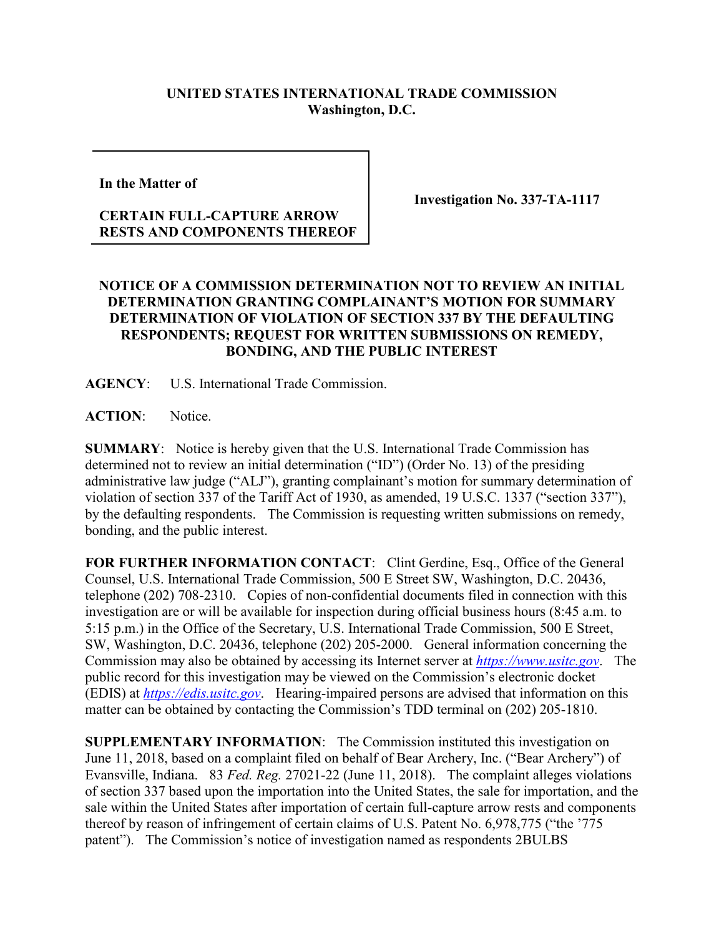## **UNITED STATES INTERNATIONAL TRADE COMMISSION Washington, D.C.**

**In the Matter of**

## **CERTAIN FULL-CAPTURE ARROW RESTS AND COMPONENTS THEREOF**

**Investigation No. 337-TA-1117**

## **NOTICE OF A COMMISSION DETERMINATION NOT TO REVIEW AN INITIAL DETERMINATION GRANTING COMPLAINANT'S MOTION FOR SUMMARY DETERMINATION OF VIOLATION OF SECTION 337 BY THE DEFAULTING RESPONDENTS; REQUEST FOR WRITTEN SUBMISSIONS ON REMEDY, BONDING, AND THE PUBLIC INTEREST**

**AGENCY**: U.S. International Trade Commission.

**ACTION**: Notice.

**SUMMARY**: Notice is hereby given that the U.S. International Trade Commission has determined not to review an initial determination ("ID") (Order No. 13) of the presiding administrative law judge ("ALJ"), granting complainant's motion for summary determination of violation of section 337 of the Tariff Act of 1930, as amended, 19 U.S.C. 1337 ("section 337"), by the defaulting respondents. The Commission is requesting written submissions on remedy, bonding, and the public interest.

FOR FURTHER INFORMATION CONTACT: Clint Gerdine, Esq., Office of the General Counsel, U.S. International Trade Commission, 500 E Street SW, Washington, D.C. 20436, telephone (202) 708-2310. Copies of non-confidential documents filed in connection with this investigation are or will be available for inspection during official business hours (8:45 a.m. to 5:15 p.m.) in the Office of the Secretary, U.S. International Trade Commission, 500 E Street, SW, Washington, D.C. 20436, telephone (202) 205-2000. General information concerning the Commission may also be obtained by accessing its Internet server at *[https://www.usitc.gov](https://www.usitc.gov/)*. The public record for this investigation may be viewed on the Commission's electronic docket (EDIS) at *[https://edis.usitc.gov](https://edis.usitc.gov/)*. Hearing-impaired persons are advised that information on this matter can be obtained by contacting the Commission's TDD terminal on (202) 205-1810.

**SUPPLEMENTARY INFORMATION**: The Commission instituted this investigation on June 11, 2018, based on a complaint filed on behalf of Bear Archery, Inc. ("Bear Archery") of Evansville, Indiana. 83 *Fed. Reg.* 27021-22 (June 11, 2018). The complaint alleges violations of section 337 based upon the importation into the United States, the sale for importation, and the sale within the United States after importation of certain full-capture arrow rests and components thereof by reason of infringement of certain claims of U.S. Patent No. 6,978,775 ("the '775 patent"). The Commission's notice of investigation named as respondents 2BULBS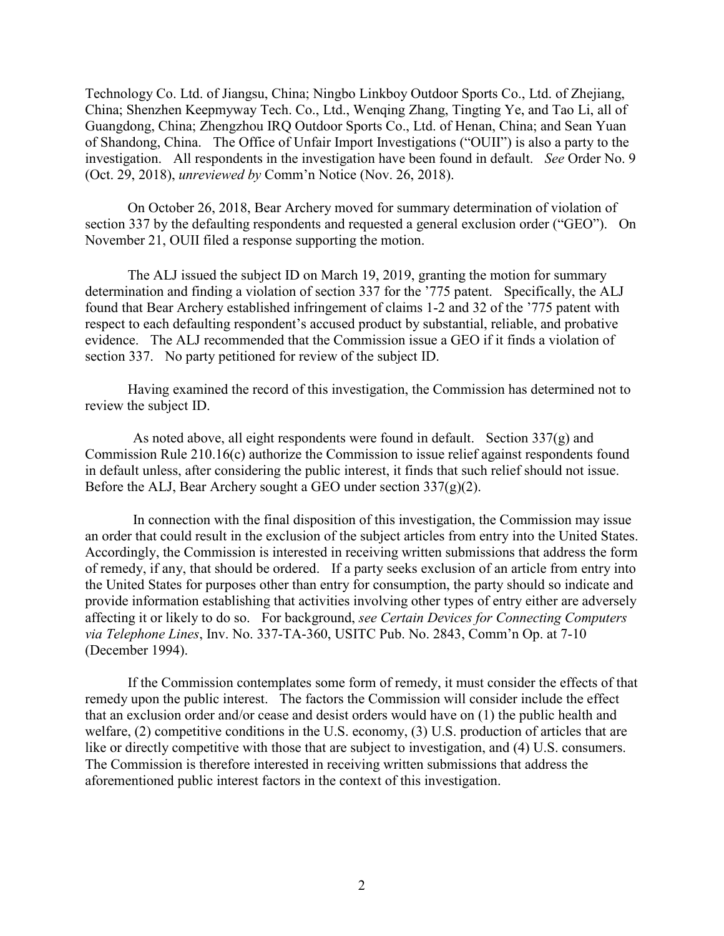Technology Co. Ltd. of Jiangsu, China; Ningbo Linkboy Outdoor Sports Co., Ltd. of Zhejiang, China; Shenzhen Keepmyway Tech. Co., Ltd., Wenqing Zhang, Tingting Ye, and Tao Li, all of Guangdong, China; Zhengzhou IRQ Outdoor Sports Co., Ltd. of Henan, China; and Sean Yuan of Shandong, China. The Office of Unfair Import Investigations ("OUII") is also a party to the investigation. All respondents in the investigation have been found in default. *See* Order No. 9 (Oct. 29, 2018), *unreviewed by* Comm'n Notice (Nov. 26, 2018).

On October 26, 2018, Bear Archery moved for summary determination of violation of section 337 by the defaulting respondents and requested a general exclusion order ("GEO"). On November 21, OUII filed a response supporting the motion.

The ALJ issued the subject ID on March 19, 2019, granting the motion for summary determination and finding a violation of section 337 for the '775 patent. Specifically, the ALJ found that Bear Archery established infringement of claims 1-2 and 32 of the '775 patent with respect to each defaulting respondent's accused product by substantial, reliable, and probative evidence. The ALJ recommended that the Commission issue a GEO if it finds a violation of section 337. No party petitioned for review of the subject ID.

Having examined the record of this investigation, the Commission has determined not to review the subject ID.

As noted above, all eight respondents were found in default. Section 337(g) and Commission Rule 210.16(c) authorize the Commission to issue relief against respondents found in default unless, after considering the public interest, it finds that such relief should not issue. Before the ALJ, Bear Archery sought a GEO under section 337(g)(2).

In connection with the final disposition of this investigation, the Commission may issue an order that could result in the exclusion of the subject articles from entry into the United States. Accordingly, the Commission is interested in receiving written submissions that address the form of remedy, if any, that should be ordered. If a party seeks exclusion of an article from entry into the United States for purposes other than entry for consumption, the party should so indicate and provide information establishing that activities involving other types of entry either are adversely affecting it or likely to do so. For background, *see Certain Devices for Connecting Computers via Telephone Lines*, Inv. No. 337-TA-360, USITC Pub. No. 2843, Comm'n Op. at 7-10 (December 1994).

If the Commission contemplates some form of remedy, it must consider the effects of that remedy upon the public interest. The factors the Commission will consider include the effect that an exclusion order and/or cease and desist orders would have on (1) the public health and welfare, (2) competitive conditions in the U.S. economy, (3) U.S. production of articles that are like or directly competitive with those that are subject to investigation, and (4) U.S. consumers. The Commission is therefore interested in receiving written submissions that address the aforementioned public interest factors in the context of this investigation.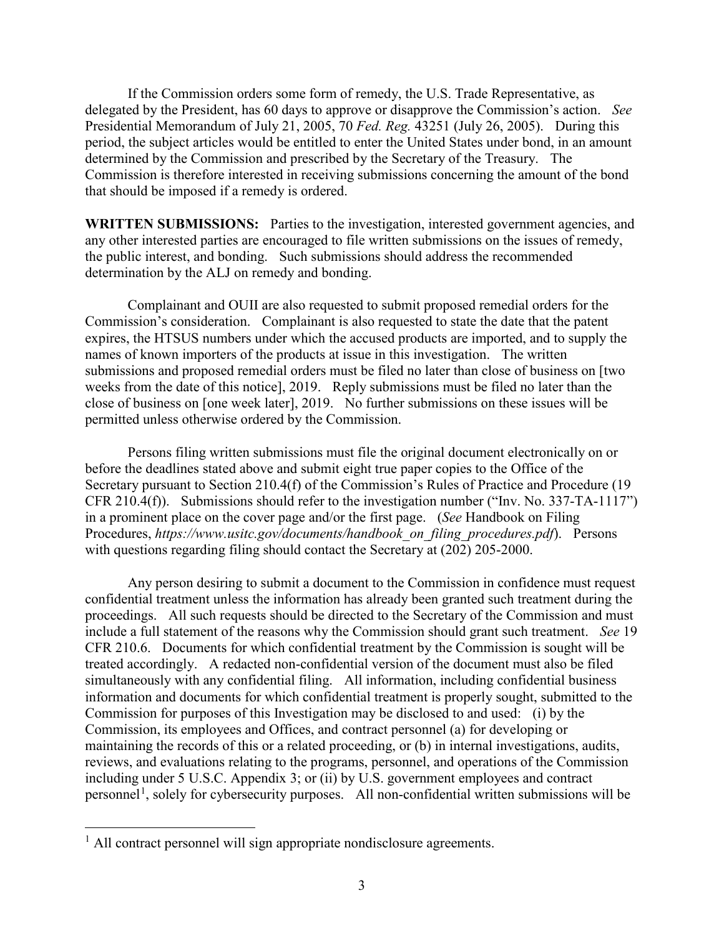If the Commission orders some form of remedy, the U.S. Trade Representative, as delegated by the President, has 60 days to approve or disapprove the Commission's action. *See*  Presidential Memorandum of July 21, 2005, 70 *Fed. Reg.* 43251 (July 26, 2005). During this period, the subject articles would be entitled to enter the United States under bond, in an amount determined by the Commission and prescribed by the Secretary of the Treasury. The Commission is therefore interested in receiving submissions concerning the amount of the bond that should be imposed if a remedy is ordered.

**WRITTEN SUBMISSIONS:** Parties to the investigation, interested government agencies, and any other interested parties are encouraged to file written submissions on the issues of remedy, the public interest, and bonding. Such submissions should address the recommended determination by the ALJ on remedy and bonding.

Complainant and OUII are also requested to submit proposed remedial orders for the Commission's consideration. Complainant is also requested to state the date that the patent expires, the HTSUS numbers under which the accused products are imported, and to supply the names of known importers of the products at issue in this investigation. The written submissions and proposed remedial orders must be filed no later than close of business on [two weeks from the date of this notice], 2019. Reply submissions must be filed no later than the close of business on [one week later], 2019. No further submissions on these issues will be permitted unless otherwise ordered by the Commission.

Persons filing written submissions must file the original document electronically on or before the deadlines stated above and submit eight true paper copies to the Office of the Secretary pursuant to Section 210.4(f) of the Commission's Rules of Practice and Procedure (19 CFR 210.4(f)). Submissions should refer to the investigation number ("Inv. No. 337-TA-1117") in a prominent place on the cover page and/or the first page. (*See* Handbook on Filing Procedures, *https://www.usitc.gov/documents/handbook\_on\_filing\_procedures.pdf*). Persons with questions regarding filing should contact the Secretary at (202) 205-2000.

Any person desiring to submit a document to the Commission in confidence must request confidential treatment unless the information has already been granted such treatment during the proceedings. All such requests should be directed to the Secretary of the Commission and must include a full statement of the reasons why the Commission should grant such treatment. *See* 19 CFR 210.6. Documents for which confidential treatment by the Commission is sought will be treated accordingly. A redacted non-confidential version of the document must also be filed simultaneously with any confidential filing. All information, including confidential business information and documents for which confidential treatment is properly sought, submitted to the Commission for purposes of this Investigation may be disclosed to and used: (i) by the Commission, its employees and Offices, and contract personnel (a) for developing or maintaining the records of this or a related proceeding, or (b) in internal investigations, audits, reviews, and evaluations relating to the programs, personnel, and operations of the Commission including under 5 U.S.C. Appendix 3; or (ii) by U.S. government employees and contract personnel<sup>[1](#page-2-0)</sup>, solely for cybersecurity purposes. All non-confidential written submissions will be

<span id="page-2-0"></span> $<sup>1</sup>$  All contract personnel will sign appropriate nondisclosure agreements.</sup>